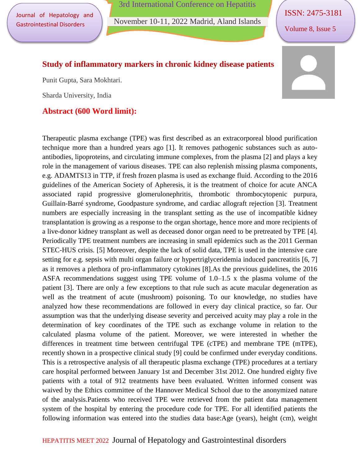Journal of Hepatology and Gastrointestinal Disorders

3rd International Conference on Hepatitis

November 10-11, 2022 Madrid, Aland Islands

ISSN: 2475-3181

Volume 8, Issue 5

#### **Study of inflammatory markers in chronic kidney disease patients**

Punit Gupta, Sara Mokhtari.

Sharda University, India

### **Abstract (600 Word limit):**



Therapeutic plasma exchange (TPE) was first described as an extracorporeal blood purification technique more than a hundred years ago [1]. It removes pathogenic substances such as autoantibodies, lipoproteins, and circulating immune complexes, from the plasma [2] and plays a key role in the management of various diseases. TPE can also replenish missing plasma components, e.g. ADAMTS13 in TTP, if fresh frozen plasma is used as exchange fluid. According to the 2016 guidelines of the American Society of Apheresis, it is the treatment of choice for acute ANCA associated rapid progressive glomerulonephritis, thrombotic thrombocytopenic purpura, Guillain-Barré syndrome, Goodpasture syndrome, and cardiac allograft rejection [3]. Treatment numbers are especially increasing in the transplant setting as the use of incompatible kidney transplantation is growing as a response to the organ shortage, hence more and more recipients of a live-donor kidney transplant as well as deceased donor organ need to be pretreated by TPE [4]. Periodically TPE treatment numbers are increasing in small epidemics such as the 2011 German STEC-HUS crisis. [5] Moreover, despite the lack of solid data, TPE is used in the intensive care setting for e.g. sepsis with multi organ failure or hypertriglyceridemia induced pancreatitis [6, 7] as it removes a plethora of pro-inflammatory cytokines [8].As the previous guidelines, the 2016 ASFA recommendations suggest using TPE volume of 1.0–1.5 x the plasma volume of the patient [3]. There are only a few exceptions to that rule such as acute macular degeneration as well as the treatment of acute (mushroom) poisoning. To our knowledge, no studies have analyzed how these recommendations are followed in every day clinical practice, so far. Our assumption was that the underlying disease severity and perceived acuity may play a role in the determination of key coordinates of the TPE such as exchange volume in relation to the calculated plasma volume of the patient. Moreover, we were interested in whether the differences in treatment time between centrifugal TPE (cTPE) and membrane TPE (mTPE), recently shown in a prospective clinical study [9] could be confirmed under everyday conditions. This is a retrospective analysis of all therapeutic plasma exchange (TPE) procedures at a tertiary care hospital performed between January 1st and December 31st 2012. One hundred eighty five patients with a total of 912 treatments have been evaluated. Written informed consent was waived by the Ethics committee of the Hannover Medical School due to the anonymized nature of the analysis.Patients who received TPE were retrieved from the patient data management system of the hospital by entering the procedure code for TPE. For all identified patients the following information was entered into the studies data base:Age (years), height (cm), weight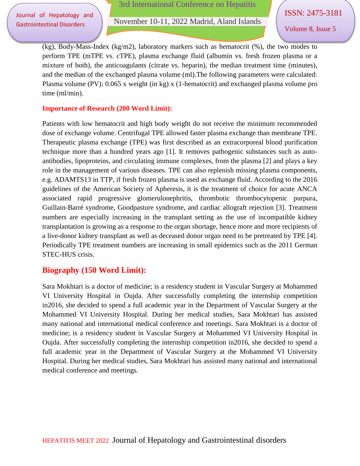Journal of Hepatology and Gastrointestinal Disorders

November 10-11, 2022 Madrid, Aland Islands

Volume 8, Issue 5

(kg), Body-Mass-Index (kg/m2), laboratory markers such as hematocrit (%), the two modes to perform TPE (mTPE vs. cTPE), plasma exchange fluid (albumin vs. fresh frozen plasma or a mixture of both), the anticoagulants (citrate vs. heparin), the median treatment time (minutes), and the median of the exchanged plasma volume (ml).The following parameters were calculated: Plasma volume (PV): 0.065 x weight (in kg) x (1-hematocrit) and exchanged plasma volume pro time (ml/min).

#### **Importance of Research (200 Word Limit):**

Patients with low hematocrit and high body weight do not receive the minimum recommended dose of exchange volume. Centrifugal TPE allowed faster plasma exchange than membrane TPE. Therapeutic plasma exchange (TPE) was first described as an extracorporeal blood purification technique more than a hundred years ago [1]. It removes pathogenic substances such as autoantibodies, lipoproteins, and circulating immune complexes, from the plasma [2] and plays a key role in the management of various diseases. TPE can also replenish missing plasma components, e.g. ADAMTS13 in TTP, if fresh frozen plasma is used as exchange fluid. According to the 2016 guidelines of the American Society of Apheresis, it is the treatment of choice for acute ANCA associated rapid progressive glomerulonephritis, thrombotic thrombocytopenic purpura, Guillain-Barré syndrome, Goodpasture syndrome, and cardiac allograft rejection [3]. Treatment numbers are especially increasing in the transplant setting as the use of incompatible kidney transplantation is growing as a response to the organ shortage, hence more and more recipients of a live-donor kidney transplant as well as deceased donor organ need to be pretreated by TPE [4]. Periodically TPE treatment numbers are increasing in small epidemics such as the 2011 German STEC-HUS crisis.

## **Biography (150 Word Limit):**

Sara Mokhtari is a doctor of medicine; is a residency student in Vascular Surgery at Mohammed VI University Hospital in Oujda. After successfully completing the internship competition in2016, she decided to spend a full academic year in the Department of Vascular Surgery at the Mohammed VI University Hospital. During her medical studies, Sara Mokhtari has assisted many national and international medical conference and meetings. Sara Mokhtari is a doctor of medicine; is a residency student in Vascular Surgery at Mohammed VI University Hospital in Oujda. After successfully completing the internship competition in2016, she decided to spend a full academic year in the Department of Vascular Surgery at the Mohammed VI University Hospital. During her medical studies, Sara Mokhtari has assisted many national and international medical conference and meetings.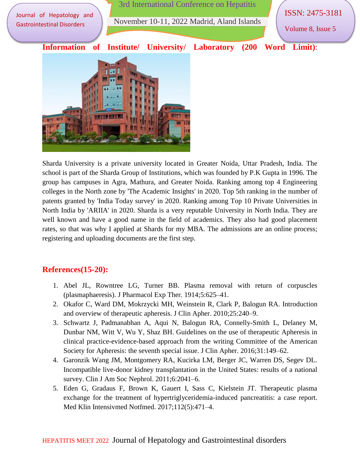

Sharda University is a private university located in Greater Noida, Uttar Pradesh, India. The school is part of the Sharda Group of Institutions, which was founded by P.K Gupta in 1996. The group has campuses in Agra, Mathura, and Greater Noida. Ranking among top 4 Engineering colleges in the North zone by 'The Academic Insights' in 2020. Top 5th ranking in the number of patents granted by 'India Today survey' in 2020. Ranking among Top 10 Private Universities in North India by 'ARIIA' in 2020. Sharda is a very reputable University in North India. They are well known and have a good name in the field of academics. They also had good placement rates, so that was why I applied at Shards for my MBA. The admissions are an online process; registering and uploading documents are the first step.

# **References(15-20):**

- 1. Abel JL, Rowntree LG, Turner BB. Plasma removal with return of corpuscles (plasmaphaeresis). J Pharmacol Exp Ther. 1914;5:625–41.
- 2. Okafor C, Ward DM, Mokrzycki MH, Weinstein R, Clark P, Balogun RA. Introduction and overview of therapeutic apheresis. J Clin Apher. 2010;25:240–9.
- 3. Schwartz J, Padmanabhan A, Aqui N, Balogun RA, Connelly-Smith L, Delaney M, Dunbar NM, Witt V, Wu Y, Shaz BH. Guidelines on the use of therapeutic Apheresis in clinical practice-evidence-based approach from the writing Committee of the American Society for Apheresis: the seventh special issue. J Clin Apher. 2016;31:149–62.
- 4. Garonzik Wang JM, Montgomery RA, Kucirka LM, Berger JC, Warren DS, Segev DL. Incompatible live-donor kidney transplantation in the United States: results of a national survey. Clin J Am Soc Nephrol. 2011;6:2041–6.
- 5. Eden G, Gradaus F, Brown K, Gauert I, Sass C, Kielstein JT. Therapeutic plasma exchange for the treatment of hypertriglyceridemia-induced pancreatitis: a case report. Med Klin Intensivmed Notfmed. 2017;112(5):471–4.